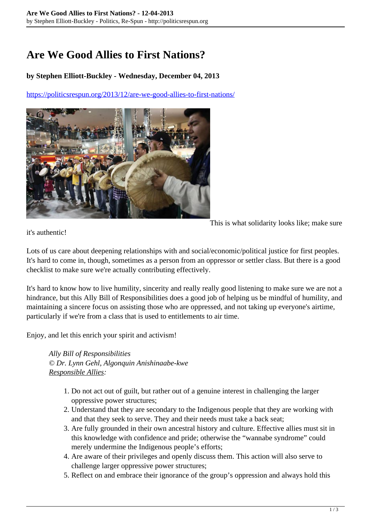## **Are We Good Allies to First Nations?**

## **by Stephen Elliott-Buckley - Wednesday, December 04, 2013**

<https://politicsrespun.org/2013/12/are-we-good-allies-to-first-nations/>



This is what solidarity looks like; make sure

it's authentic!

Lots of us care about deepening relationships with and social/economic/political justice for first peoples. It's hard to come in, though, sometimes as a person from an oppressor or settler class. But there is a good checklist to make sure we're actually contributing effectively.

It's hard to know how to live humility, sincerity and really really good listening to make sure we are not a hindrance, but this Ally Bill of Responsibilities does a good job of helping us be mindful of humility, and maintaining a sincere focus on assisting those who are oppressed, and not taking up everyone's airtime, particularly if we're from a class that is used to entitlements to air time.

Enjoy, and let this enrich your spirit and activism!

*Ally Bill of Responsibilities © Dr. Lynn Gehl, Algonquin Anishinaabe-kwe Responsible Allies:*

- 1. Do not act out of guilt, but rather out of a genuine interest in challenging the larger oppressive power structures;
- 2. Understand that they are secondary to the Indigenous people that they are working with and that they seek to serve. They and their needs must take a back seat;
- 3. Are fully grounded in their own ancestral history and culture. Effective allies must sit in this knowledge with confidence and pride; otherwise the "wannabe syndrome" could merely undermine the Indigenous people's efforts;
- 4. Are aware of their privileges and openly discuss them. This action will also serve to challenge larger oppressive power structures;
- 5. Reflect on and embrace their ignorance of the group's oppression and always hold this